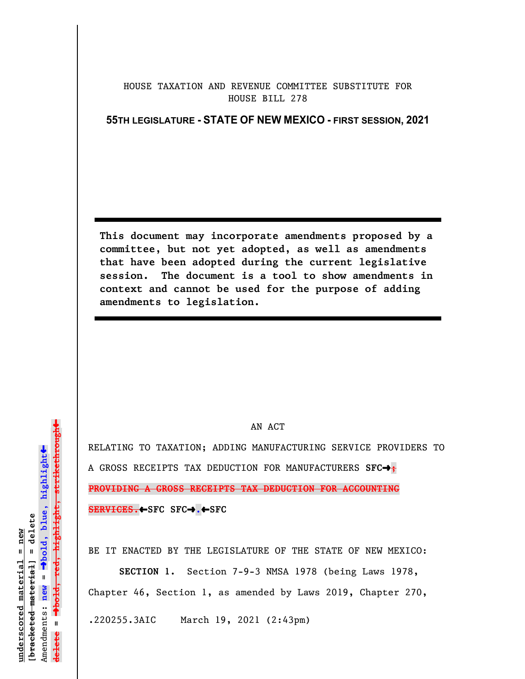## HOUSE TAXATION AND REVENUE COMMITTEE SUBSTITUTE FOR HOUSE BILL 278

**55TH LEGISLATURE - STATE OF NEW MEXICO - FIRST SESSION, 2021**

**This document may incorporate amendments proposed by a committee, but not yet adopted, as well as amendments that have been adopted during the current legislative session. The document is a tool to show amendments in context and cannot be used for the purpose of adding amendments to legislation.**

## AN ACT

RELATING TO TAXATION; ADDING MANUFACTURING SERVICE PROVIDERS TO A GROSS RECEIPTS TAX DEDUCTION FOR MANUFACTURERS SFC $\rightarrow$ ; **PROVIDING A GROSS RECEIPTS TAX DEDUCTION FOR ACCOUNTING SERVICES.←SFC SFC→.←SFC** 

BE IT ENACTED BY THE LEGISLATURE OF THE STATE OF NEW MEXICO:

**SECTION 1.** Section 7-9-3 NMSA 1978 (being Laws 1978, Chapter 46, Section 1, as amended by Laws 2019, Chapter 270, .220255.3AIC March 19, 2021 (2:43pm)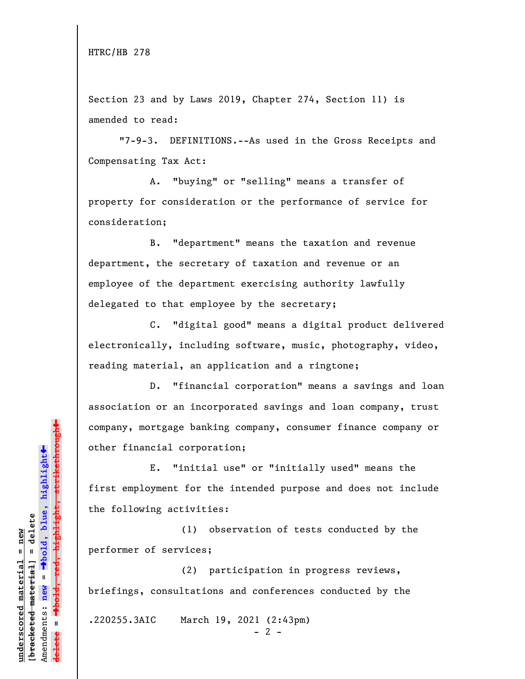Section 23 and by Laws 2019, Chapter 274, Section 11) is amended to read:

"7-9-3. DEFINITIONS.--As used in the Gross Receipts and Compensating Tax Act:

A. "buying" or "selling" means a transfer of property for consideration or the performance of service for consideration;

B. "department" means the taxation and revenue department, the secretary of taxation and revenue or an employee of the department exercising authority lawfully delegated to that employee by the secretary;

C. "digital good" means a digital product delivered electronically, including software, music, photography, video, reading material, an application and a ringtone;

D. "financial corporation" means a savings and loan association or an incorporated savings and loan company, trust company, mortgage banking company, consumer finance company or other financial corporation;

E. "initial use" or "initially used" means the first employment for the intended purpose and does not include the following activities:

(1) observation of tests conducted by the performer of services;

(2) participation in progress reviews, briefings, consultations and conferences conducted by the

.220255.3AIC March 19, 2021 (2:43pm)

 $- 2 -$ 

 $\ddag$ º**bold, red, highlight, strikethrough**  $\ddot{\bullet}$ º**bold, blue, highlight**  $b$ racketed material] = delete **[bracketed material] = delete** inderscored material = new **underscored material = new** Amendments: new = Amendments: **new** = **delete =**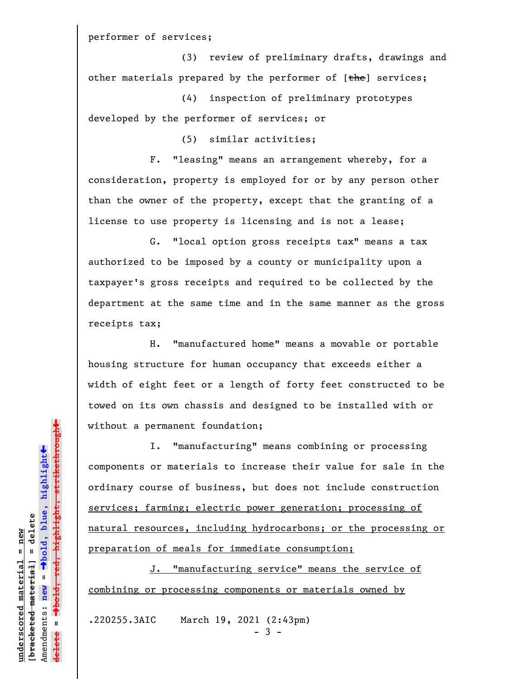performer of services;

(3) review of preliminary drafts, drawings and other materials prepared by the performer of  $[the]$  services;

(4) inspection of preliminary prototypes developed by the performer of services; or

(5) similar activities;

F. "leasing" means an arrangement whereby, for a consideration, property is employed for or by any person other than the owner of the property, except that the granting of a license to use property is licensing and is not a lease;

G. "local option gross receipts tax" means a tax authorized to be imposed by a county or municipality upon a taxpayer's gross receipts and required to be collected by the department at the same time and in the same manner as the gross receipts tax;

H. "manufactured home" means a movable or portable housing structure for human occupancy that exceeds either a width of eight feet or a length of forty feet constructed to be towed on its own chassis and designed to be installed with or without a permanent foundation;

I. "manufacturing" means combining or processing components or materials to increase their value for sale in the ordinary course of business, but does not include construction services; farming; electric power generation; processing of natural resources, including hydrocarbons; or the processing or preparation of meals for immediate consumption;

J. "manufacturing service" means the service of combining or processing components or materials owned by

.220255.3AIC March 19, 2021 (2:43pm)

- 3 -

 $\ddag$ º**bold, red, highlight, strikethrough**  $\ddot{\bullet}$ º**bold, blue, highlight**  $b$ racketed material] = delete **[bracketed material] = delete** inderscored material = new **underscored material = new** Amendments: **new** = Amendments: new =  $\mathbf{I}$ **delete =**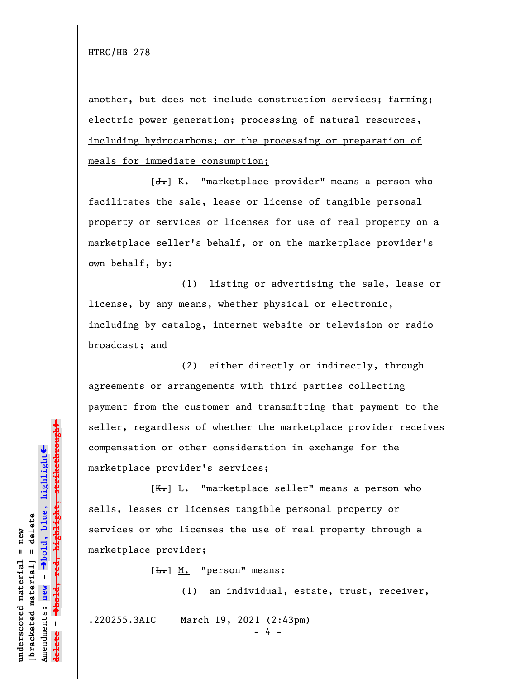another, but does not include construction services; farming; electric power generation; processing of natural resources, including hydrocarbons; or the processing or preparation of meals for immediate consumption;

 $[\frac{1}{\sqrt{1}}]$  K. "marketplace provider" means a person who facilitates the sale, lease or license of tangible personal property or services or licenses for use of real property on a marketplace seller's behalf, or on the marketplace provider's own behalf, by:

(1) listing or advertising the sale, lease or license, by any means, whether physical or electronic, including by catalog, internet website or television or radio broadcast; and

(2) either directly or indirectly, through agreements or arrangements with third parties collecting payment from the customer and transmitting that payment to the seller, regardless of whether the marketplace provider receives compensation or other consideration in exchange for the marketplace provider's services;

 $[K-]$  L. "marketplace seller" means a person who sells, leases or licenses tangible personal property or services or who licenses the use of real property through a marketplace provider;

 $[\frac{L}{\cdot},]$  M. "person" means:

(1) an individual, estate, trust, receiver, .220255.3AIC March 19, 2021 (2:43pm) - 4 -

»highlight, strikethrough º**bold, red, highlight, strikethrough**  $\ddot{\bullet}$ º**bold, blue, highlight** bracketed material] = delete **[bracketed material] = delete** inderscored material = new **underscored material = new** Amendments: **new** =  $\mathbf{I}$ Amendments: new **delete =**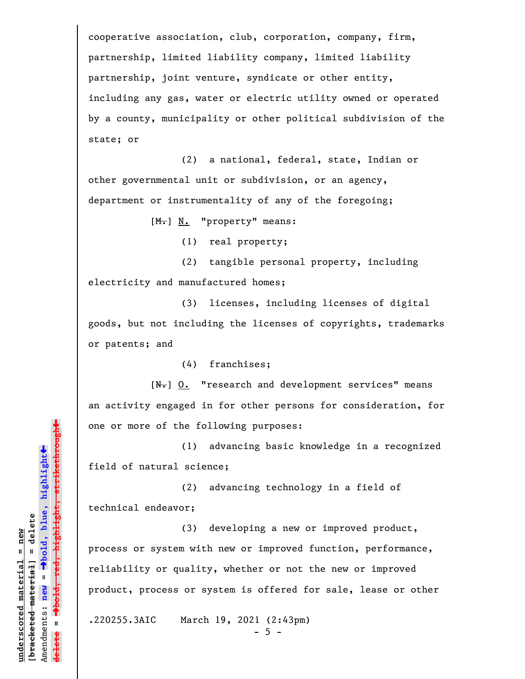cooperative association, club, corporation, company, firm, partnership, limited liability company, limited liability partnership, joint venture, syndicate or other entity, including any gas, water or electric utility owned or operated by a county, municipality or other political subdivision of the state; or

(2) a national, federal, state, Indian or other governmental unit or subdivision, or an agency, department or instrumentality of any of the foregoing;

[M.] N. "property" means:

(1) real property;

(2) tangible personal property, including electricity and manufactured homes;

(3) licenses, including licenses of digital goods, but not including the licenses of copyrights, trademarks or patents; and

(4) franchises;

 $[N_{\tau}]$   $Q_{\tau}$  "research and development services" means an activity engaged in for other persons for consideration, for one or more of the following purposes:

(1) advancing basic knowledge in a recognized field of natural science;

(2) advancing technology in a field of technical endeavor;

(3) developing a new or improved product, process or system with new or improved function, performance, reliability or quality, whether or not the new or improved product, process or system is offered for sale, lease or other

.220255.3AIC March 19, 2021 (2:43pm)

 $-5 -$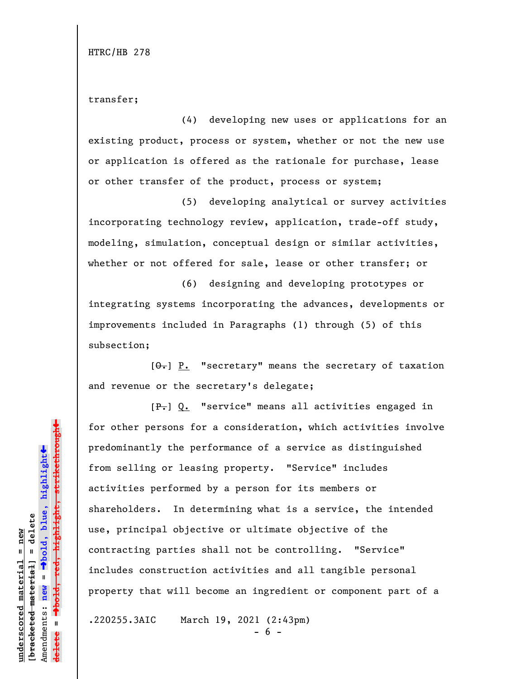transfer;

(4) developing new uses or applications for an existing product, process or system, whether or not the new use or application is offered as the rationale for purchase, lease or other transfer of the product, process or system;

(5) developing analytical or survey activities incorporating technology review, application, trade-off study, modeling, simulation, conceptual design or similar activities, whether or not offered for sale, lease or other transfer; or

(6) designing and developing prototypes or integrating systems incorporating the advances, developments or improvements included in Paragraphs (1) through (5) of this subsection;

 $[\theta_{\overline{\tau}}]$  P. "secretary" means the secretary of taxation and revenue or the secretary's delegate;

[P.] Q. "service" means all activities engaged in for other persons for a consideration, which activities involve predominantly the performance of a service as distinguished from selling or leasing property. "Service" includes activities performed by a person for its members or shareholders. In determining what is a service, the intended use, principal objective or ultimate objective of the contracting parties shall not be controlling. "Service" includes construction activities and all tangible personal property that will become an ingredient or component part of a

.220255.3AIC March 19, 2021 (2:43pm)

- 6 -

 $\ddag$ º**bold, red, highlight, strikethrough**  $\ddot{\bullet}$ º**bold, blue, highlight**  $b$ racketed material] = delete **[bracketed material] = delete** inderscored material = new **underscored material = new** Amendments: new = Amendments: **new** =  $\mathbf{u}$ **delete = lelete**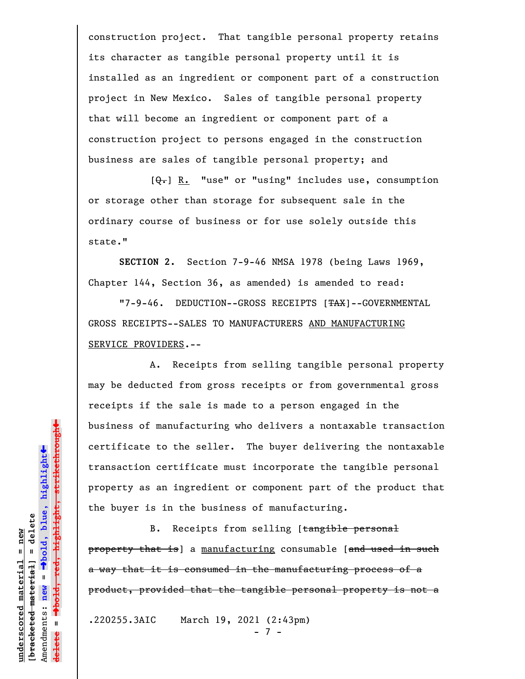construction project. That tangible personal property retains its character as tangible personal property until it is installed as an ingredient or component part of a construction project in New Mexico. Sales of tangible personal property that will become an ingredient or component part of a construction project to persons engaged in the construction business are sales of tangible personal property; and

 $[\theta_{\overline{\bullet}}]$  R. "use" or "using" includes use, consumption or storage other than storage for subsequent sale in the ordinary course of business or for use solely outside this state."

**SECTION 2.** Section 7-9-46 NMSA 1978 (being Laws 1969, Chapter 144, Section 36, as amended) is amended to read:

"7-9-46. DEDUCTION--GROSS RECEIPTS [TAX]--GOVERNMENTAL GROSS RECEIPTS--SALES TO MANUFACTURERS AND MANUFACTURING SERVICE PROVIDERS.--

A. Receipts from selling tangible personal property may be deducted from gross receipts or from governmental gross receipts if the sale is made to a person engaged in the business of manufacturing who delivers a nontaxable transaction certificate to the seller. The buyer delivering the nontaxable transaction certificate must incorporate the tangible personal property as an ingredient or component part of the product that the buyer is in the business of manufacturing.

B. Receipts from selling [tangible personal property that is] a manufacturing consumable [and used in such a way that it is consumed in the manufacturing process of a product, provided that the tangible personal property is not a

.220255.3AIC March 19, 2021 (2:43pm)

- 7 -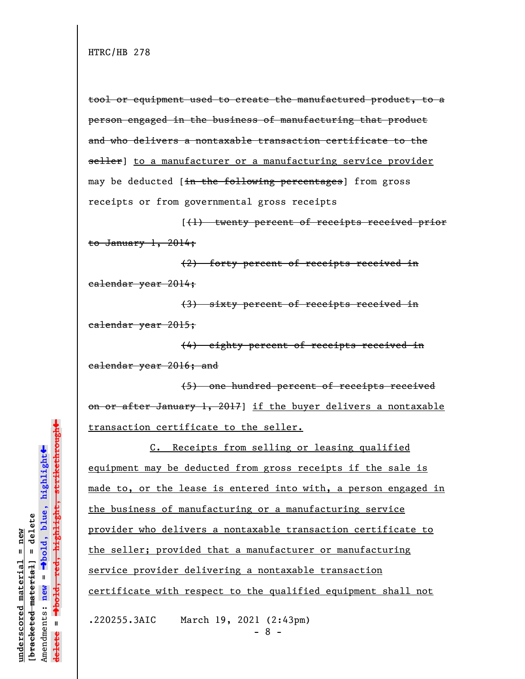tool or equipment used to create the manufactured product, to a person engaged in the business of manufacturing that product and who delivers a nontaxable transaction certificate to the seller] to a manufacturer or a manufacturing service provider may be deducted [in the following percentages] from gross receipts or from governmental gross receipts

[(1) twenty percent of receipts received prior to January  $1, 2014;$ 

(2) forty percent of receipts received in calendar year 2014;

(3) sixty percent of receipts received in calendar year 2015;

(4) eighty percent of receipts received in calendar year 2016; and

(5) one hundred percent of receipts received on or after January 1, 2017] if the buyer delivers a nontaxable transaction certificate to the seller.

C. Receipts from selling or leasing qualified equipment may be deducted from gross receipts if the sale is made to, or the lease is entered into with, a person engaged in the business of manufacturing or a manufacturing service provider who delivers a nontaxable transaction certificate to the seller; provided that a manufacturer or manufacturing service provider delivering a nontaxable transaction certificate with respect to the qualified equipment shall not

.220255.3AIC March 19, 2021 (2:43pm)

- 8 -

 $\ddag$ º**bold, red, highlight, strikethrough**  $\ddot{\bullet}$ º**bold, blue, highlight** bracketed material] = delete **[bracketed material] = delete**  $anderscored material = new$ **underscored material = new** Amendments: **new** =  $\bar{\mathbf{u}}$ Amendments: new  $\mathbf{u}$ **delete =** lelete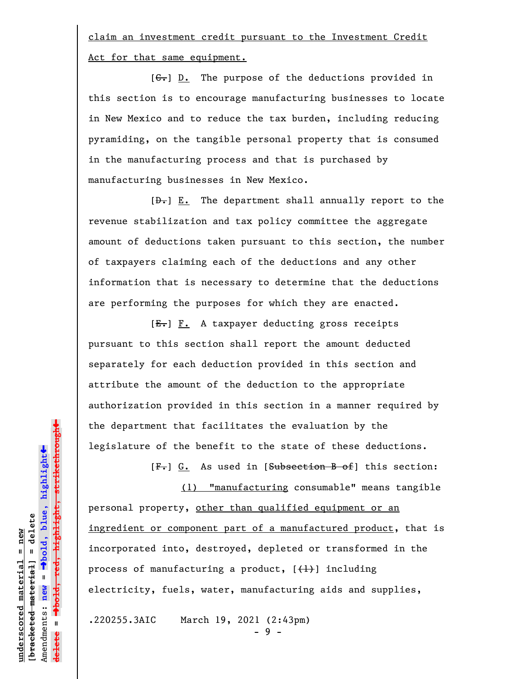claim an investment credit pursuant to the Investment Credit Act for that same equipment.

 $[G<sub>r</sub>]$  D. The purpose of the deductions provided in this section is to encourage manufacturing businesses to locate in New Mexico and to reduce the tax burden, including reducing pyramiding, on the tangible personal property that is consumed in the manufacturing process and that is purchased by manufacturing businesses in New Mexico.

 $[\frac{D-1}{2}]$  E. The department shall annually report to the revenue stabilization and tax policy committee the aggregate amount of deductions taken pursuant to this section, the number of taxpayers claiming each of the deductions and any other information that is necessary to determine that the deductions are performing the purposes for which they are enacted.

[E.] F. A taxpayer deducting gross receipts pursuant to this section shall report the amount deducted separately for each deduction provided in this section and attribute the amount of the deduction to the appropriate authorization provided in this section in a manner required by the department that facilitates the evaluation by the legislature of the benefit to the state of these deductions.

(1) "manufacturing consumable" means tangible personal property, other than qualified equipment or an ingredient or component part of a manufactured product, that is incorporated into, destroyed, depleted or transformed in the process of manufacturing a product,  $[\frac{1}{1}]$  including electricity, fuels, water, manufacturing aids and supplies,

[F.] G. As used in [Subsection B of] this section:

.220255.3AIC March 19, 2021 (2:43pm)

- 9 -

 $\ddag$ º**bold, red, highlight, strikethrough**  $\ddot{\bullet}$ º**bold, blue, highlight**  $b$ racketed material] = delete **[bracketed material] = delete** inderscored material = new **underscored material = new** Amendments: **new** =  $\mathbf{I}$ Amendments: new  $\mathbf{I}$ **delete =**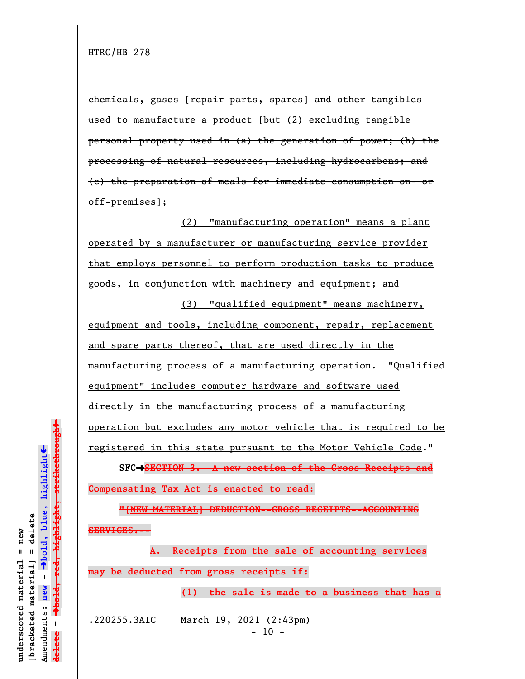chemicals, gases [repair parts, spares] and other tangibles used to manufacture a product  $[\frac{but (2) excluding-tangible}{]$ personal property used in (a) the generation of power; (b) the processing of natural resources, including hydrocarbons; and (c) the preparation of meals for immediate consumption on- or off-premises];

(2) "manufacturing operation" means a plant operated by a manufacturer or manufacturing service provider that employs personnel to perform production tasks to produce goods, in conjunction with machinery and equipment; and

(3) "qualified equipment" means machinery, equipment and tools, including component, repair, replacement and spare parts thereof, that are used directly in the manufacturing process of a manufacturing operation. "Qualified equipment" includes computer hardware and software used directly in the manufacturing process of a manufacturing operation but excludes any motor vehicle that is required to be registered in this state pursuant to the Motor Vehicle Code."

**SFC**º**SECTION 3. A new section of the Gross Receipts and Compensating Tax Act is enacted to read:**

**"[NEW MATERIAL] DEDUCTION--GROSS RECEIPTS--ACCOUNTING SERVICES.--**

**A. Receipts from the sale of accounting services may be deducted from gross receipts if:**

**(1) the sale is made to a business that has a**

.220255.3AIC March 19, 2021 (2:43pm)  $- 10 -$ 

 $\ddag$ º**bold, red, highlight, strikethrough**  $\ddot{\bullet}$ º**bold, blue, highlight** bracketed material] = delete **[bracketed material] = delete** inderscored material = new **underscored material = new**  $\mathbf{I}$ Amendments: **new** = Amendments: new  $\mathbf{u}$ **delete =** lelete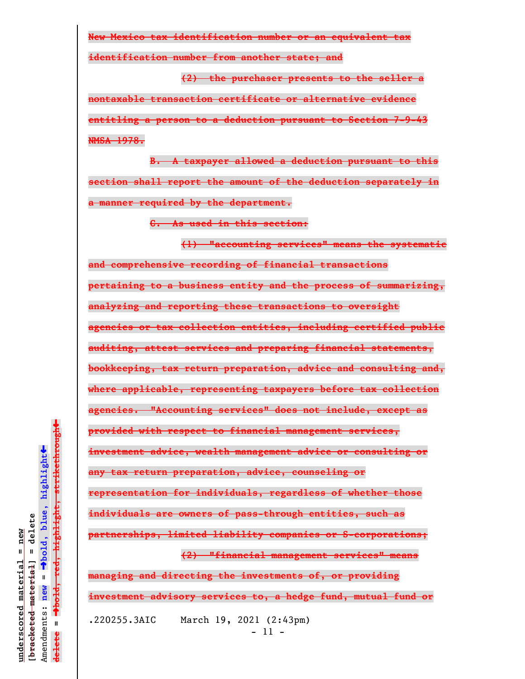**New Mexico tax identification number or an equivalent tax**

**identification number from another state; and**

**(2) the purchaser presents to the seller a nontaxable transaction certificate or alternative evidence entitling a person to a deduction pursuant to Section 7-9-43 NMSA 1978.**

**B. A taxpayer allowed a deduction pursuant to this section shall report the amount of the deduction separately in a manner required by the department.**

**C. As used in this section:**

**(1) "accounting services" means the systematic and comprehensive recording of financial transactions pertaining to a business entity and the process of summarizing, analyzing and reporting these transactions to oversight agencies or tax collection entities, including certified public auditing, attest services and preparing financial statements, bookkeeping, tax return preparation, advice and consulting and, where applicable, representing taxpayers before tax collection agencies. "Accounting services" does not include, except as provided with respect to financial management services, investment advice, wealth management advice or consulting or any tax return preparation, advice, counseling or representation for individuals, regardless of whether those individuals are owners of pass-through entities, such as partnerships, limited liability companies or S-corporations; (2) "financial management services" means managing and directing the investments of, or providing investment advisory services to, a hedge fund, mutual fund or**

- 11 -

.220255.3AIC March 19, 2021 (2:43pm)